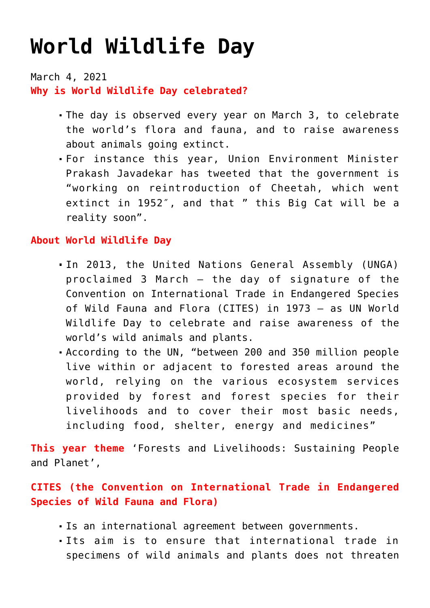# **[World Wildlife Day](https://journalsofindia.com/world-wildlife-day/)**

March 4, 2021 **Why is World Wildlife Day celebrated?** 

- The day is observed every year on March 3, to celebrate the world's flora and fauna, and to raise awareness about animals going extinct.
- For instance this year, Union Environment Minister Prakash Javadekar has tweeted that the government is "working on reintroduction of Cheetah, which went extinct in 1952", and that " this Big Cat will be a reality soon".

## **About World Wildlife Day**

- In 2013, the United Nations General Assembly (UNGA) proclaimed 3 March – the day of signature of the Convention on International Trade in Endangered Species of Wild Fauna and Flora (CITES) in 1973 – as UN World Wildlife Day to celebrate and raise awareness of the world's wild animals and plants.
- According to the UN, "between 200 and 350 million people live within or adjacent to forested areas around the world, relying on the various ecosystem services provided by forest and forest species for their livelihoods and to cover their most basic needs, including food, shelter, energy and medicines"

**This year theme** 'Forests and Livelihoods: Sustaining People and Planet',

## **CITES (the Convention on International Trade in Endangered Species of Wild Fauna and Flora)**

- Is an international agreement between governments.
- Its aim is to ensure that international trade in specimens of wild animals and plants does not threaten